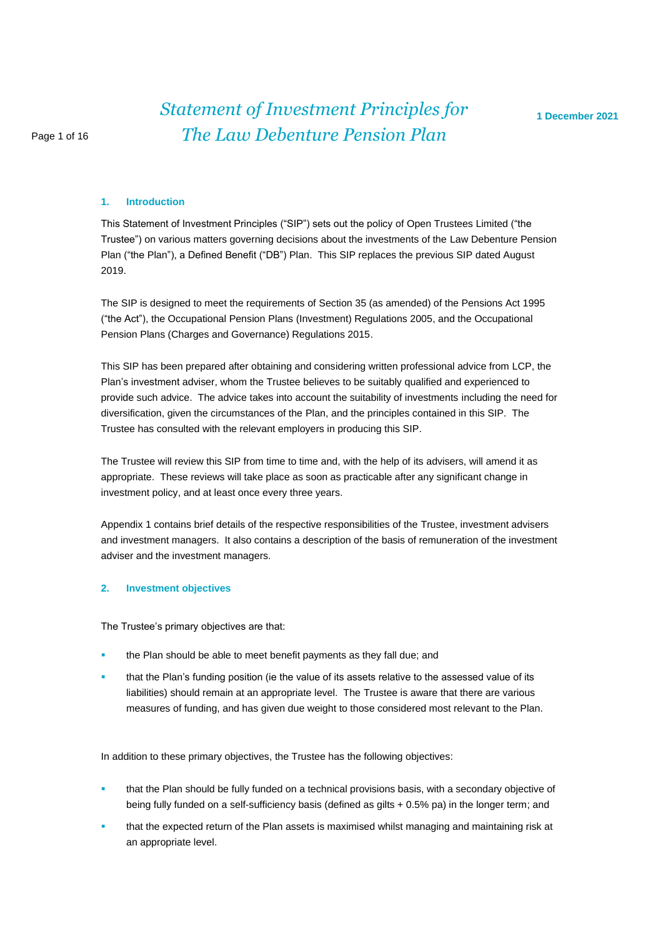#### **1. Introduction**

This Statement of Investment Principles ("SIP") sets out the policy of Open Trustees Limited ("the Trustee") on various matters governing decisions about the investments of the Law Debenture Pension Plan ("the Plan"), a Defined Benefit ("DB") Plan. This SIP replaces the previous SIP dated August 2019.

The SIP is designed to meet the requirements of Section 35 (as amended) of the Pensions Act 1995 ("the Act"), the Occupational Pension Plans (Investment) Regulations 2005, and the Occupational Pension Plans (Charges and Governance) Regulations 2015.

This SIP has been prepared after obtaining and considering written professional advice from LCP, the Plan's investment adviser, whom the Trustee believes to be suitably qualified and experienced to provide such advice. The advice takes into account the suitability of investments including the need for diversification, given the circumstances of the Plan, and the principles contained in this SIP. The Trustee has consulted with the relevant employers in producing this SIP.

The Trustee will review this SIP from time to time and, with the help of its advisers, will amend it as appropriate. These reviews will take place as soon as practicable after any significant change in investment policy, and at least once every three years.

Appendix 1 contains brief details of the respective responsibilities of the Trustee, investment advisers and investment managers. It also contains a description of the basis of remuneration of the investment adviser and the investment managers.

#### **2. Investment objectives**

The Trustee's primary objectives are that:

- the Plan should be able to meet benefit payments as they fall due; and
- **that the Plan's funding position (ie the value of its assets relative to the assessed value of its** liabilities) should remain at an appropriate level. The Trustee is aware that there are various measures of funding, and has given due weight to those considered most relevant to the Plan.

In addition to these primary objectives, the Trustee has the following objectives:

- that the Plan should be fully funded on a technical provisions basis, with a secondary objective of being fully funded on a self-sufficiency basis (defined as gilts + 0.5% pa) in the longer term; and
- that the expected return of the Plan assets is maximised whilst managing and maintaining risk at an appropriate level.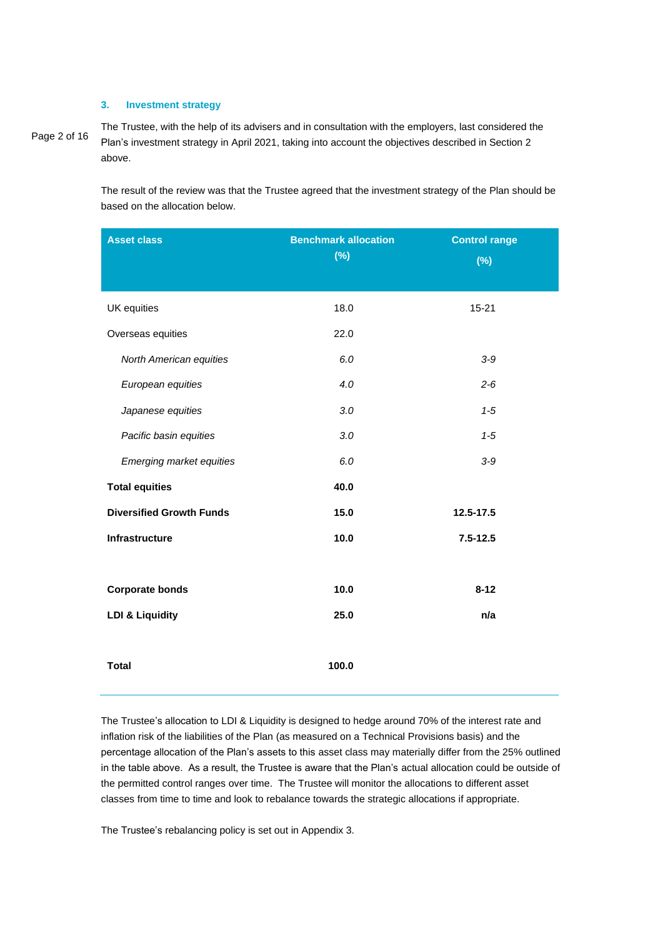# **3. Investment strategy**

Page 2 of 16

The Trustee, with the help of its advisers and in consultation with the employers, last considered the Plan's investment strategy in April 2021, taking into account the objectives described in Section 2 above.

The result of the review was that the Trustee agreed that the investment strategy of the Plan should be based on the allocation below.

| <b>Asset class</b>              | <b>Benchmark allocation</b><br>$(\%)$ | <b>Control range</b><br>(%) |
|---------------------------------|---------------------------------------|-----------------------------|
| UK equities                     | 18.0                                  | $15 - 21$                   |
| Overseas equities               | 22.0                                  |                             |
| North American equities         | 6.0                                   | $3-9$                       |
| European equities               | 4.0                                   | $2 - 6$                     |
| Japanese equities               | 3.0                                   | $1 - 5$                     |
| Pacific basin equities          | 3.0                                   | $1 - 5$                     |
| <b>Emerging market equities</b> | 6.0                                   | $3-9$                       |
| <b>Total equities</b>           | 40.0                                  |                             |
| <b>Diversified Growth Funds</b> | 15.0                                  | 12.5-17.5                   |
| Infrastructure                  | 10.0                                  | $7.5 - 12.5$                |
|                                 |                                       |                             |
| <b>Corporate bonds</b>          | 10.0                                  | $8 - 12$                    |
| <b>LDI &amp; Liquidity</b>      | 25.0                                  | n/a                         |
| <b>Total</b>                    | 100.0                                 |                             |

The Trustee's allocation to LDI & Liquidity is designed to hedge around 70% of the interest rate and inflation risk of the liabilities of the Plan (as measured on a Technical Provisions basis) and the percentage allocation of the Plan's assets to this asset class may materially differ from the 25% outlined in the table above. As a result, the Trustee is aware that the Plan's actual allocation could be outside of the permitted control ranges over time. The Trustee will monitor the allocations to different asset classes from time to time and look to rebalance towards the strategic allocations if appropriate.

The Trustee's rebalancing policy is set out in Appendix 3.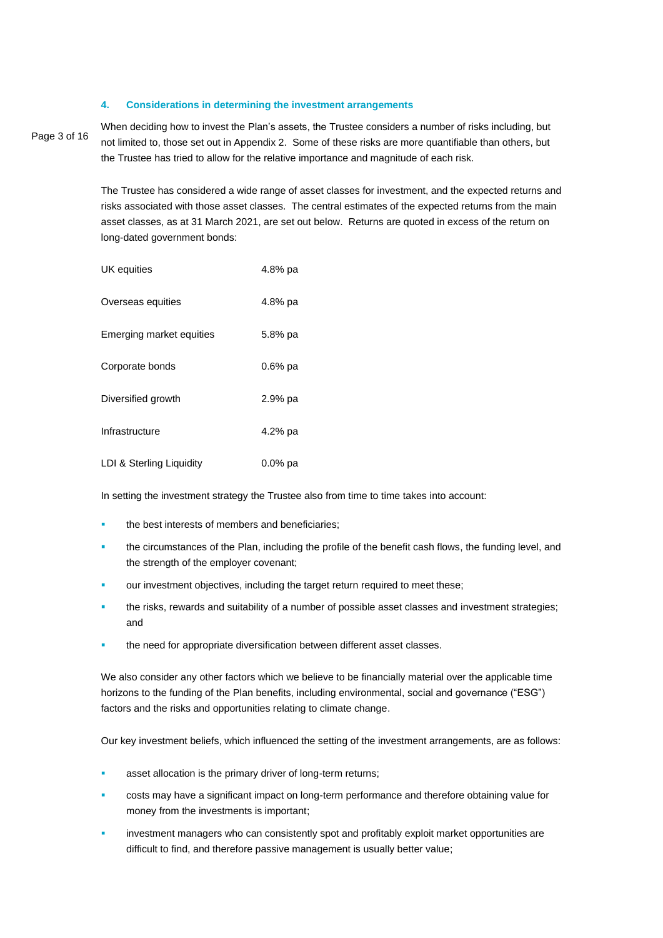#### **4. Considerations in determining the investment arrangements**

Page 3 of 16

When deciding how to invest the Plan's assets, the Trustee considers a number of risks including, but not limited to, those set out in Appendix 2. Some of these risks are more quantifiable than others, but the Trustee has tried to allow for the relative importance and magnitude of each risk.

The Trustee has considered a wide range of asset classes for investment, and the expected returns and risks associated with those asset classes. The central estimates of the expected returns from the main asset classes, as at 31 March 2021, are set out below. Returns are quoted in excess of the return on long-dated government bonds:

| UK equities              | 4.8% pa   |
|--------------------------|-----------|
| Overseas equities        | 4.8% pa   |
| Emerging market equities | 5.8% pa   |
| Corporate bonds          | $0.6%$ pa |
| Diversified growth       | $2.9%$ pa |
| Infrastructure           | 4.2% pa   |
| LDI & Sterling Liquidity | $0.0%$ pa |

In setting the investment strategy the Trustee also from time to time takes into account:

- the best interests of members and beneficiaries;
- the circumstances of the Plan, including the profile of the benefit cash flows, the funding level, and the strength of the employer covenant;
- our investment objectives, including the target return required to meet these;
- the risks, rewards and suitability of a number of possible asset classes and investment strategies; and
- the need for appropriate diversification between different asset classes.

We also consider any other factors which we believe to be financially material over the applicable time horizons to the funding of the Plan benefits, including environmental, social and governance ("ESG") factors and the risks and opportunities relating to climate change.

Our key investment beliefs, which influenced the setting of the investment arrangements, are as follows:

- asset allocation is the primary driver of long-term returns;
- costs may have a significant impact on long-term performance and therefore obtaining value for money from the investments is important;
- investment managers who can consistently spot and profitably exploit market opportunities are difficult to find, and therefore passive management is usually better value;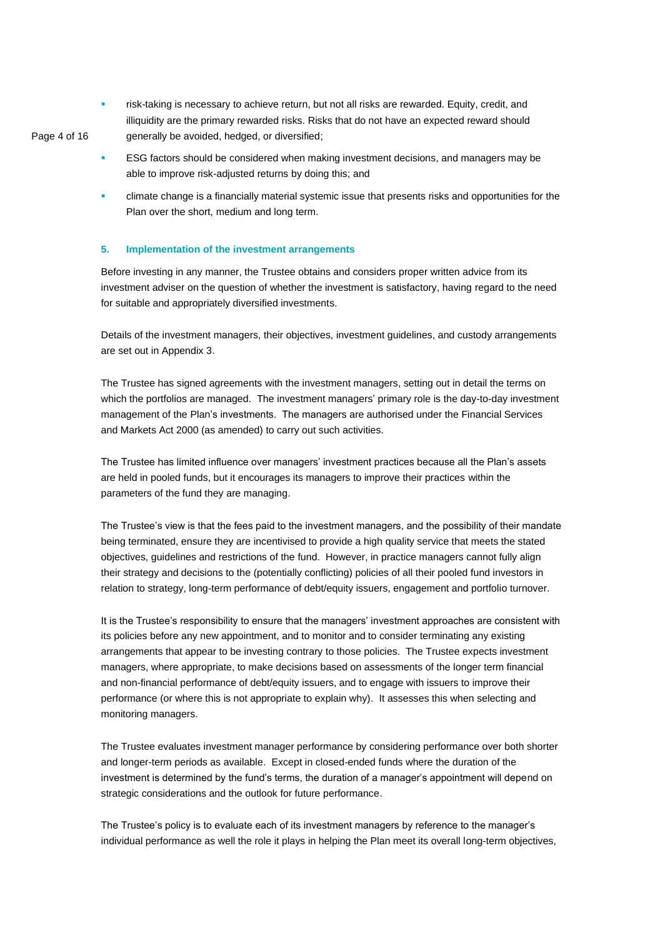**EXED** risk-taking is necessary to achieve return, but not all risks are rewarded. Equity, credit, and illiquidity are the primary rewarded risks. Risks that do not have an expected reward should generally be avoided, hedged, or diversified;

Page 4 of 16

- ESG factors should be considered when making investment decisions, and managers may be able to improve risk-adjusted returns by doing this; and
- climate change is a financially material systemic issue that presents risks and opportunities for the Plan over the short, medium and long term.

# **5. Implementation of the investment arrangements**

Before investing in any manner, the Trustee obtains and considers proper written advice from its investment adviser on the question of whether the investment is satisfactory, having regard to the need for suitable and appropriately diversified investments.

Details of the investment managers, their objectives, investment guidelines, and custody arrangements are set out in Appendix 3.

The Trustee has signed agreements with the investment managers, setting out in detail the terms on which the portfolios are managed. The investment managers' primary role is the day-to-day investment management of the Plan's investments. The managers are authorised under the Financial Services and Markets Act 2000 (as amended) to carry out such activities.

The Trustee has limited influence over managers' investment practices because all the Plan's assets are held in pooled funds, but it encourages its managers to improve their practices within the parameters of the fund they are managing.

The Trustee's view is that the fees paid to the investment managers, and the possibility of their mandate being terminated, ensure they are incentivised to provide a high quality service that meets the stated objectives, guidelines and restrictions of the fund. However, in practice managers cannot fully align their strategy and decisions to the (potentially conflicting) policies of all their pooled fund investors in relation to strategy, long-term performance of debt/equity issuers, engagement and portfolio turnover.

It is the Trustee's responsibility to ensure that the managers' investment approaches are consistent with its policies before any new appointment, and to monitor and to consider terminating any existing arrangements that appear to be investing contrary to those policies. The Trustee expects investment managers, where appropriate, to make decisions based on assessments of the longer term financial and non-financial performance of debt/equity issuers, and to engage with issuers to improve their performance (or where this is not appropriate to explain why). It assesses this when selecting and monitoring managers.

The Trustee evaluates investment manager performance by considering performance over both shorter and longer-term periods as available. Except in closed-ended funds where the duration of the investment is determined by the fund's terms, the duration of a manager's appointment will depend on strategic considerations and the outlook for future performance.

The Trustee's policy is to evaluate each of its investment managers by reference to the manager's individual performance as well the role it plays in helping the Plan meet its overall long-term objectives,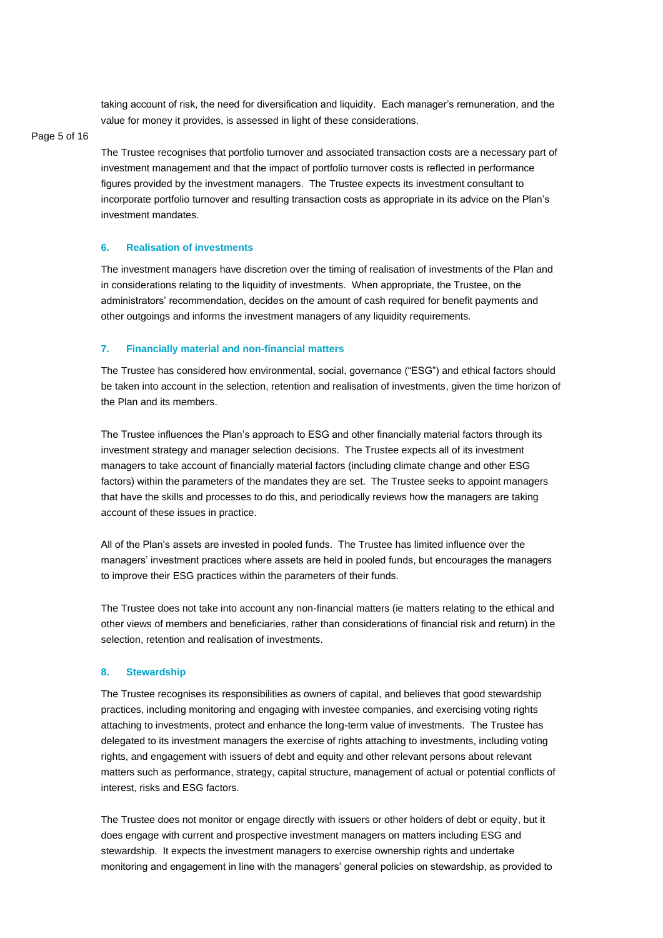taking account of risk, the need for diversification and liquidity. Each manager's remuneration, and the value for money it provides, is assessed in light of these considerations.

#### Page 5 of 16

The Trustee recognises that portfolio turnover and associated transaction costs are a necessary part of investment management and that the impact of portfolio turnover costs is reflected in performance figures provided by the investment managers. The Trustee expects its investment consultant to incorporate portfolio turnover and resulting transaction costs as appropriate in its advice on the Plan's investment mandates.

# **6. Realisation of investments**

The investment managers have discretion over the timing of realisation of investments of the Plan and in considerations relating to the liquidity of investments. When appropriate, the Trustee, on the administrators' recommendation, decides on the amount of cash required for benefit payments and other outgoings and informs the investment managers of any liquidity requirements.

#### **7. Financially material and non-financial matters**

The Trustee has considered how environmental, social, governance ("ESG") and ethical factors should be taken into account in the selection, retention and realisation of investments, given the time horizon of the Plan and its members.

The Trustee influences the Plan's approach to ESG and other financially material factors through its investment strategy and manager selection decisions. The Trustee expects all of its investment managers to take account of financially material factors (including climate change and other ESG factors) within the parameters of the mandates they are set. The Trustee seeks to appoint managers that have the skills and processes to do this, and periodically reviews how the managers are taking account of these issues in practice.

All of the Plan's assets are invested in pooled funds. The Trustee has limited influence over the managers' investment practices where assets are held in pooled funds, but encourages the managers to improve their ESG practices within the parameters of their funds.

The Trustee does not take into account any non-financial matters (ie matters relating to the ethical and other views of members and beneficiaries, rather than considerations of financial risk and return) in the selection, retention and realisation of investments.

#### **8. Stewardship**

The Trustee recognises its responsibilities as owners of capital, and believes that good stewardship practices, including monitoring and engaging with investee companies, and exercising voting rights attaching to investments, protect and enhance the long-term value of investments. The Trustee has delegated to its investment managers the exercise of rights attaching to investments, including voting rights, and engagement with issuers of debt and equity and other relevant persons about relevant matters such as performance, strategy, capital structure, management of actual or potential conflicts of interest, risks and ESG factors.

The Trustee does not monitor or engage directly with issuers or other holders of debt or equity, but it does engage with current and prospective investment managers on matters including ESG and stewardship. It expects the investment managers to exercise ownership rights and undertake monitoring and engagement in line with the managers' general policies on stewardship, as provided to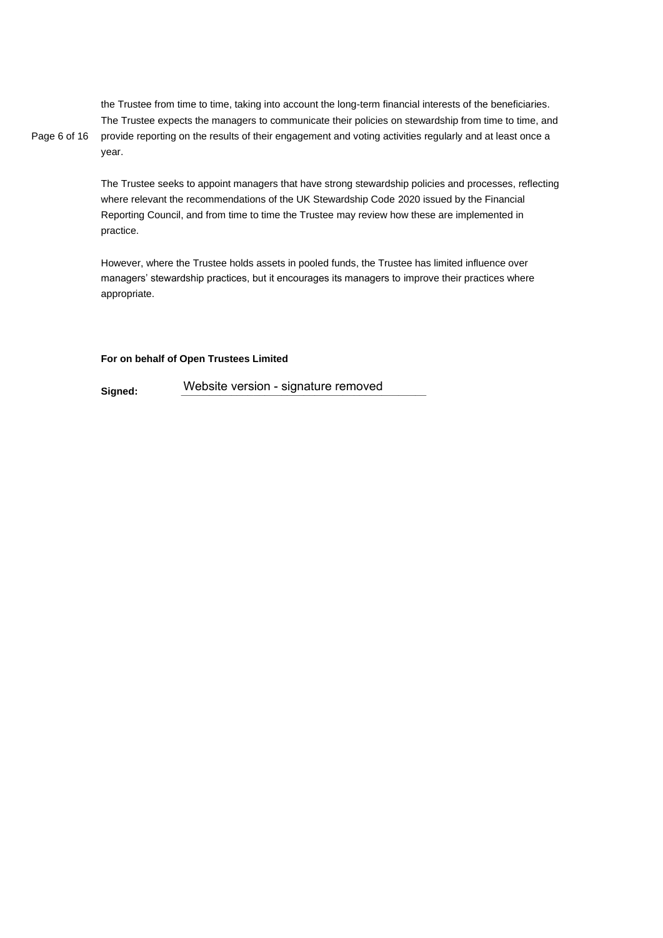Page 6 of 16 the Trustee from time to time, taking into account the long-term financial interests of the beneficiaries. The Trustee expects the managers to communicate their policies on stewardship from time to time, and provide reporting on the results of their engagement and voting activities regularly and at least once a year.

> The Trustee seeks to appoint managers that have strong stewardship policies and processes, reflecting where relevant the recommendations of the UK Stewardship Code 2020 issued by the Financial Reporting Council, and from time to time the Trustee may review how these are implemented in practice.

However, where the Trustee holds assets in pooled funds, the Trustee has limited influence over managers' stewardship practices, but it encourages its managers to improve their practices where appropriate.

# **For on behalf of Open Trustees Limited**

**Signed:** Website version - signature removed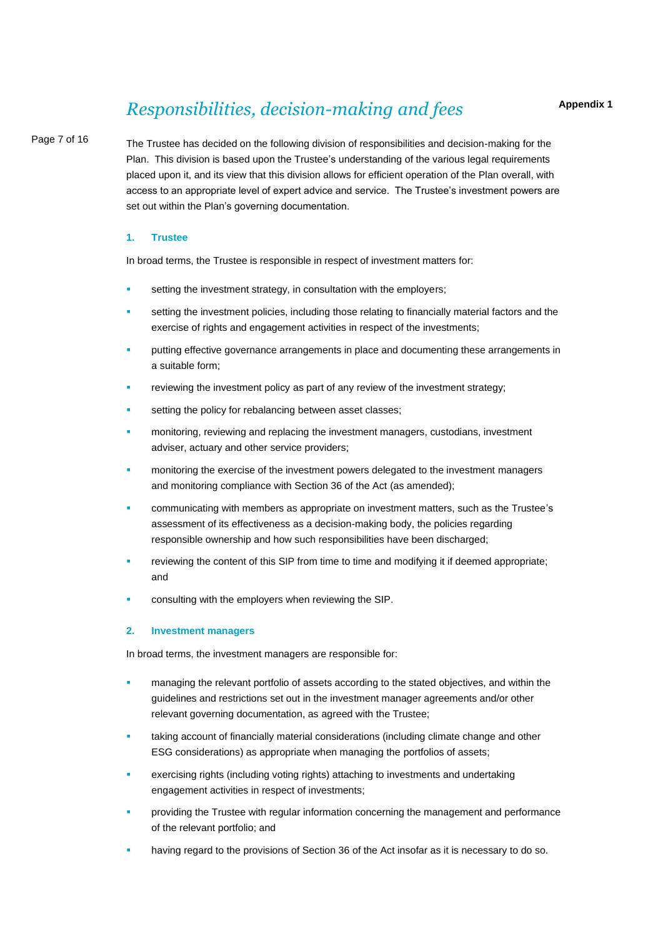# *Responsibilities, decision-making and fees*

# Page 7 of 16

The Trustee has decided on the following division of responsibilities and decision-making for the Plan. This division is based upon the Trustee's understanding of the various legal requirements placed upon it, and its view that this division allows for efficient operation of the Plan overall, with access to an appropriate level of expert advice and service. The Trustee's investment powers are set out within the Plan's governing documentation.

# **1. Trustee**

In broad terms, the Trustee is responsible in respect of investment matters for:

- setting the investment strategy, in consultation with the employers;
- setting the investment policies, including those relating to financially material factors and the exercise of rights and engagement activities in respect of the investments;
- putting effective governance arrangements in place and documenting these arrangements in a suitable form;
- reviewing the investment policy as part of any review of the investment strategy;
- setting the policy for rebalancing between asset classes;
- monitoring, reviewing and replacing the investment managers, custodians, investment adviser, actuary and other service providers;
- monitoring the exercise of the investment powers delegated to the investment managers and monitoring compliance with Section 36 of the Act (as amended);
- communicating with members as appropriate on investment matters, such as the Trustee's assessment of its effectiveness as a decision-making body, the policies regarding responsible ownership and how such responsibilities have been discharged;
- reviewing the content of this SIP from time to time and modifying it if deemed appropriate; and
- consulting with the employers when reviewing the SIP.

# **2. Investment managers**

In broad terms, the investment managers are responsible for:

- managing the relevant portfolio of assets according to the stated objectives, and within the guidelines and restrictions set out in the investment manager agreements and/or other relevant governing documentation, as agreed with the Trustee;
- taking account of financially material considerations (including climate change and other ESG considerations) as appropriate when managing the portfolios of assets;
- exercising rights (including voting rights) attaching to investments and undertaking engagement activities in respect of investments;
- providing the Trustee with regular information concerning the management and performance of the relevant portfolio; and
- having regard to the provisions of Section 36 of the Act insofar as it is necessary to do so.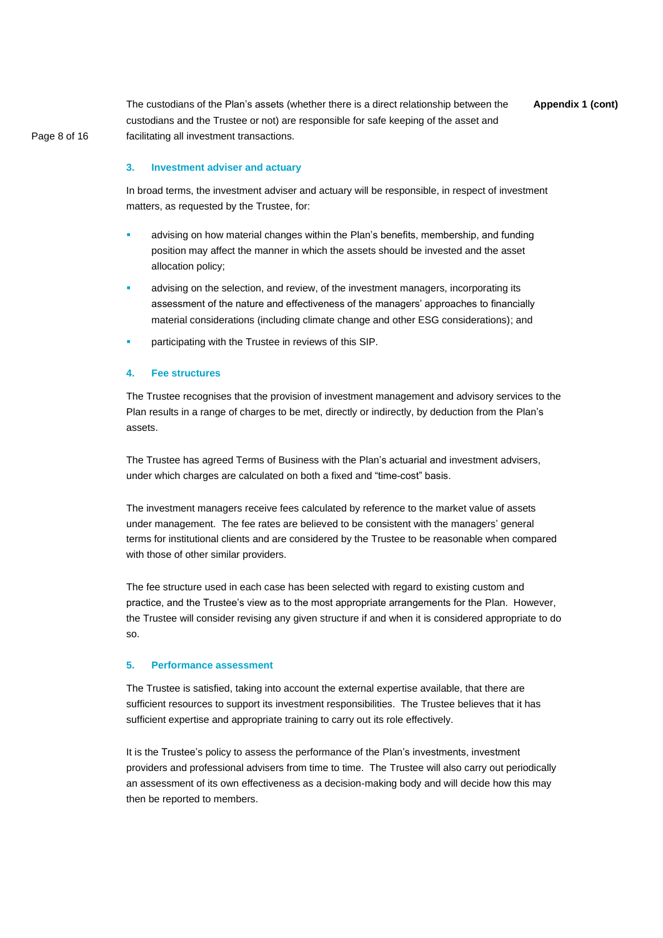**Appendix 1 (cont)** The custodians of the Plan's assets (whether there is a direct relationship between the custodians and the Trustee or not) are responsible for safe keeping of the asset and facilitating all investment transactions.

Page 8 of 16

#### **3. Investment adviser and actuary**

In broad terms, the investment adviser and actuary will be responsible, in respect of investment matters, as requested by the Trustee, for:

- advising on how material changes within the Plan's benefits, membership, and funding position may affect the manner in which the assets should be invested and the asset allocation policy;
- advising on the selection, and review, of the investment managers, incorporating its assessment of the nature and effectiveness of the managers' approaches to financially material considerations (including climate change and other ESG considerations); and
- participating with the Trustee in reviews of this SIP.

# **4. Fee structures**

The Trustee recognises that the provision of investment management and advisory services to the Plan results in a range of charges to be met, directly or indirectly, by deduction from the Plan's assets.

The Trustee has agreed Terms of Business with the Plan's actuarial and investment advisers, under which charges are calculated on both a fixed and "time-cost" basis.

The investment managers receive fees calculated by reference to the market value of assets under management. The fee rates are believed to be consistent with the managers' general terms for institutional clients and are considered by the Trustee to be reasonable when compared with those of other similar providers.

The fee structure used in each case has been selected with regard to existing custom and practice, and the Trustee's view as to the most appropriate arrangements for the Plan. However, the Trustee will consider revising any given structure if and when it is considered appropriate to do so.

#### **5. Performance assessment**

The Trustee is satisfied, taking into account the external expertise available, that there are sufficient resources to support its investment responsibilities. The Trustee believes that it has sufficient expertise and appropriate training to carry out its role effectively.

It is the Trustee's policy to assess the performance of the Plan's investments, investment providers and professional advisers from time to time. The Trustee will also carry out periodically an assessment of its own effectiveness as a decision-making body and will decide how this may then be reported to members.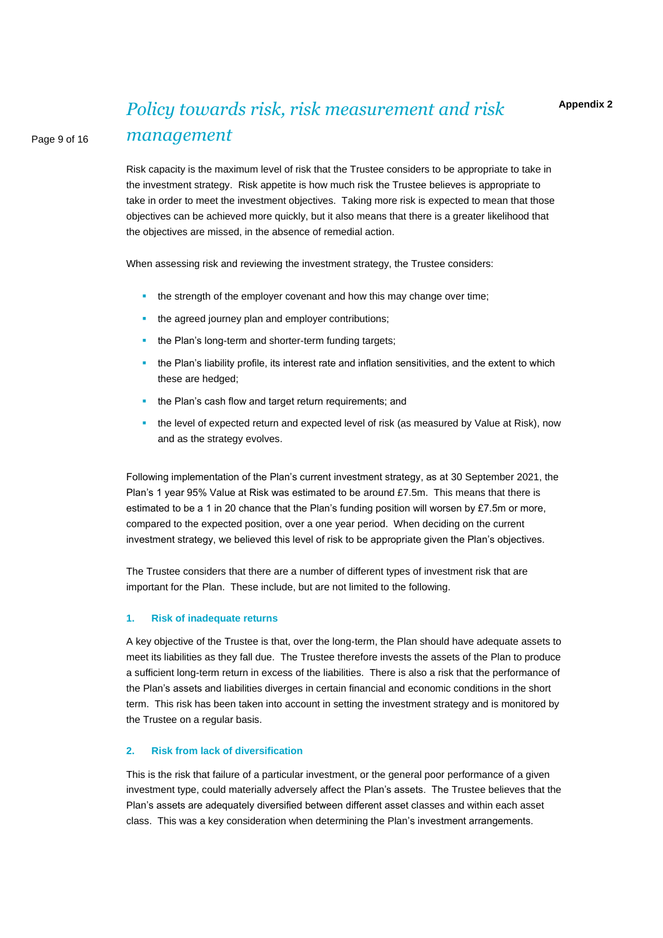# *Policy towards risk, risk measurement and risk management*

Risk capacity is the maximum level of risk that the Trustee considers to be appropriate to take in the investment strategy. Risk appetite is how much risk the Trustee believes is appropriate to take in order to meet the investment objectives. Taking more risk is expected to mean that those objectives can be achieved more quickly, but it also means that there is a greater likelihood that the objectives are missed, in the absence of remedial action.

When assessing risk and reviewing the investment strategy, the Trustee considers:

- the strength of the employer covenant and how this may change over time;
- the agreed journey plan and employer contributions;
- the Plan's long-term and shorter-term funding targets;
- the Plan's liability profile, its interest rate and inflation sensitivities, and the extent to which these are hedged;
- the Plan's cash flow and target return requirements; and
- the level of expected return and expected level of risk (as measured by Value at Risk), now and as the strategy evolves.

Following implementation of the Plan's current investment strategy, as at 30 September 2021, the Plan's 1 year 95% Value at Risk was estimated to be around £7.5m. This means that there is estimated to be a 1 in 20 chance that the Plan's funding position will worsen by £7.5m or more, compared to the expected position, over a one year period. When deciding on the current investment strategy, we believed this level of risk to be appropriate given the Plan's objectives.

The Trustee considers that there are a number of different types of investment risk that are important for the Plan. These include, but are not limited to the following.

#### **1. Risk of inadequate returns**

Page 9 of 16

A key objective of the Trustee is that, over the long-term, the Plan should have adequate assets to meet its liabilities as they fall due. The Trustee therefore invests the assets of the Plan to produce a sufficient long-term return in excess of the liabilities. There is also a risk that the performance of the Plan's assets and liabilities diverges in certain financial and economic conditions in the short term. This risk has been taken into account in setting the investment strategy and is monitored by the Trustee on a regular basis.

# **2. Risk from lack of diversification**

This is the risk that failure of a particular investment, or the general poor performance of a given investment type, could materially adversely affect the Plan's assets. The Trustee believes that the Plan's assets are adequately diversified between different asset classes and within each asset class. This was a key consideration when determining the Plan's investment arrangements.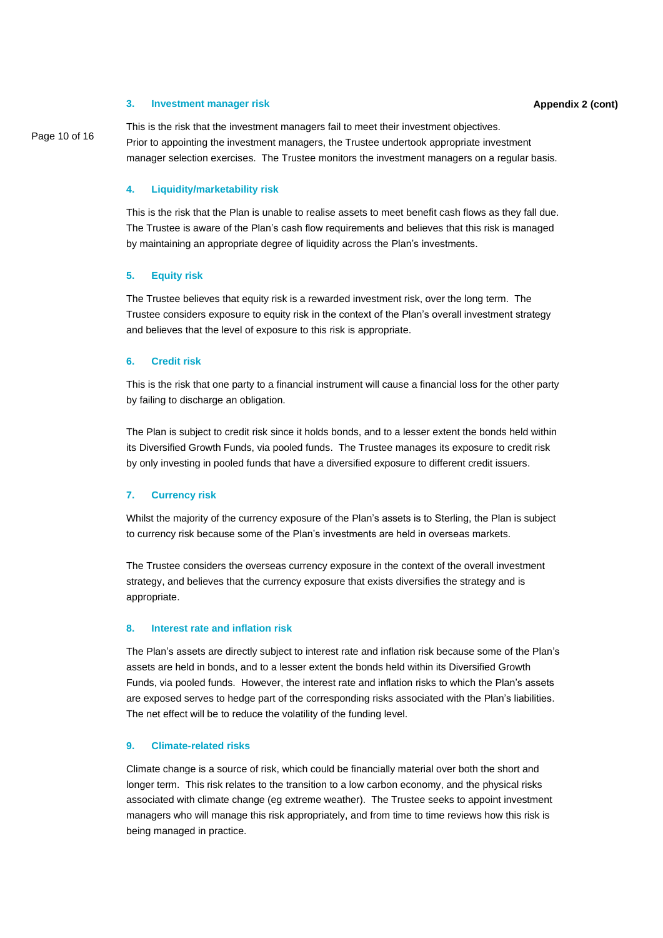#### **3. Investment manager risk**

This is the risk that the investment managers fail to meet their investment objectives. Prior to appointing the investment managers, the Trustee undertook appropriate investment manager selection exercises. The Trustee monitors the investment managers on a regular basis.

# **4. Liquidity/marketability risk**

This is the risk that the Plan is unable to realise assets to meet benefit cash flows as they fall due. The Trustee is aware of the Plan's cash flow requirements and believes that this risk is managed by maintaining an appropriate degree of liquidity across the Plan's investments.

#### **5. Equity risk**

The Trustee believes that equity risk is a rewarded investment risk, over the long term. The Trustee considers exposure to equity risk in the context of the Plan's overall investment strategy and believes that the level of exposure to this risk is appropriate.

# **6. Credit risk**

This is the risk that one party to a financial instrument will cause a financial loss for the other party by failing to discharge an obligation.

The Plan is subject to credit risk since it holds bonds, and to a lesser extent the bonds held within its Diversified Growth Funds, via pooled funds. The Trustee manages its exposure to credit risk by only investing in pooled funds that have a diversified exposure to different credit issuers.

# **7. Currency risk**

Whilst the majority of the currency exposure of the Plan's assets is to Sterling, the Plan is subject to currency risk because some of the Plan's investments are held in overseas markets.

The Trustee considers the overseas currency exposure in the context of the overall investment strategy, and believes that the currency exposure that exists diversifies the strategy and is appropriate.

#### **8. Interest rate and inflation risk**

The Plan's assets are directly subject to interest rate and inflation risk because some of the Plan's assets are held in bonds, and to a lesser extent the bonds held within its Diversified Growth Funds, via pooled funds. However, the interest rate and inflation risks to which the Plan's assets are exposed serves to hedge part of the corresponding risks associated with the Plan's liabilities. The net effect will be to reduce the volatility of the funding level.

#### **9. Climate-related risks**

Climate change is a source of risk, which could be financially material over both the short and longer term. This risk relates to the transition to a low carbon economy, and the physical risks associated with climate change (eg extreme weather). The Trustee seeks to appoint investment managers who will manage this risk appropriately, and from time to time reviews how this risk is being managed in practice.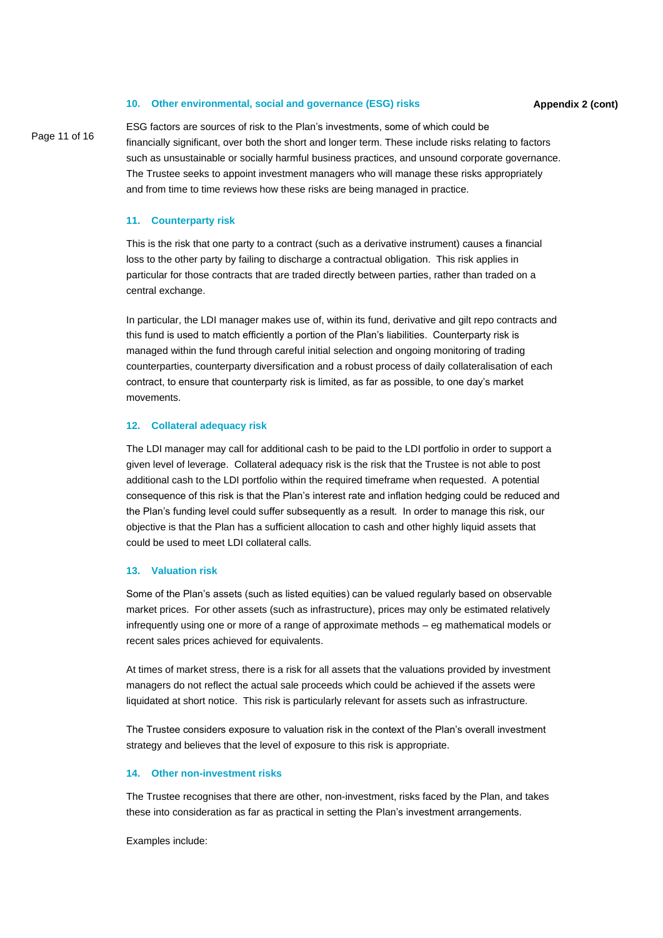#### **10. Other environmental, social and governance (ESG) risks**

Page 11 of 16

ESG factors are sources of risk to the Plan's investments, some of which could be financially significant, over both the short and longer term. These include risks relating to factors such as unsustainable or socially harmful business practices, and unsound corporate governance. The Trustee seeks to appoint investment managers who will manage these risks appropriately and from time to time reviews how these risks are being managed in practice.

#### **11. Counterparty risk**

This is the risk that one party to a contract (such as a derivative instrument) causes a financial loss to the other party by failing to discharge a contractual obligation. This risk applies in particular for those contracts that are traded directly between parties, rather than traded on a central exchange.

In particular, the LDI manager makes use of, within its fund, derivative and gilt repo contracts and this fund is used to match efficiently a portion of the Plan's liabilities. Counterparty risk is managed within the fund through careful initial selection and ongoing monitoring of trading counterparties, counterparty diversification and a robust process of daily collateralisation of each contract, to ensure that counterparty risk is limited, as far as possible, to one day's market movements.

#### **12. Collateral adequacy risk**

The LDI manager may call for additional cash to be paid to the LDI portfolio in order to support a given level of leverage. Collateral adequacy risk is the risk that the Trustee is not able to post additional cash to the LDI portfolio within the required timeframe when requested. A potential consequence of this risk is that the Plan's interest rate and inflation hedging could be reduced and the Plan's funding level could suffer subsequently as a result. In order to manage this risk, our objective is that the Plan has a sufficient allocation to cash and other highly liquid assets that could be used to meet LDI collateral calls.

# **13. Valuation risk**

Some of the Plan's assets (such as listed equities) can be valued regularly based on observable market prices. For other assets (such as infrastructure), prices may only be estimated relatively infrequently using one or more of a range of approximate methods – eg mathematical models or recent sales prices achieved for equivalents.

At times of market stress, there is a risk for all assets that the valuations provided by investment managers do not reflect the actual sale proceeds which could be achieved if the assets were liquidated at short notice. This risk is particularly relevant for assets such as infrastructure.

The Trustee considers exposure to valuation risk in the context of the Plan's overall investment strategy and believes that the level of exposure to this risk is appropriate.

# **14. Other non-investment risks**

The Trustee recognises that there are other, non-investment, risks faced by the Plan, and takes these into consideration as far as practical in setting the Plan's investment arrangements.

Examples include: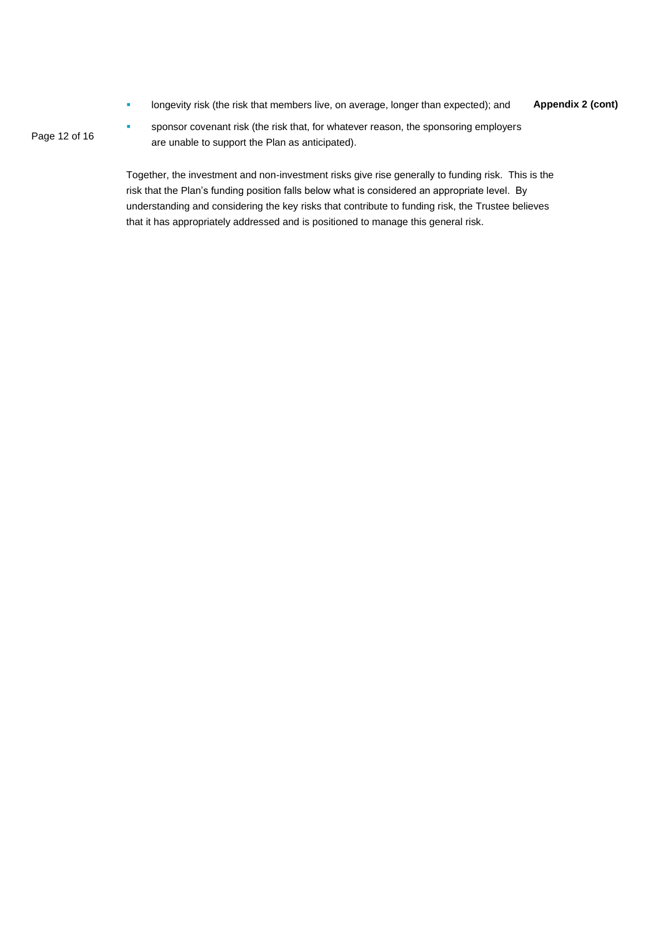**Appendix 2 (cont)** longevity risk (the risk that members live, on average, longer than expected); and

Page 12 of 16

sponsor covenant risk (the risk that, for whatever reason, the sponsoring employers are unable to support the Plan as anticipated).

Together, the investment and non-investment risks give rise generally to funding risk. This is the risk that the Plan's funding position falls below what is considered an appropriate level. By understanding and considering the key risks that contribute to funding risk, the Trustee believes that it has appropriately addressed and is positioned to manage this general risk.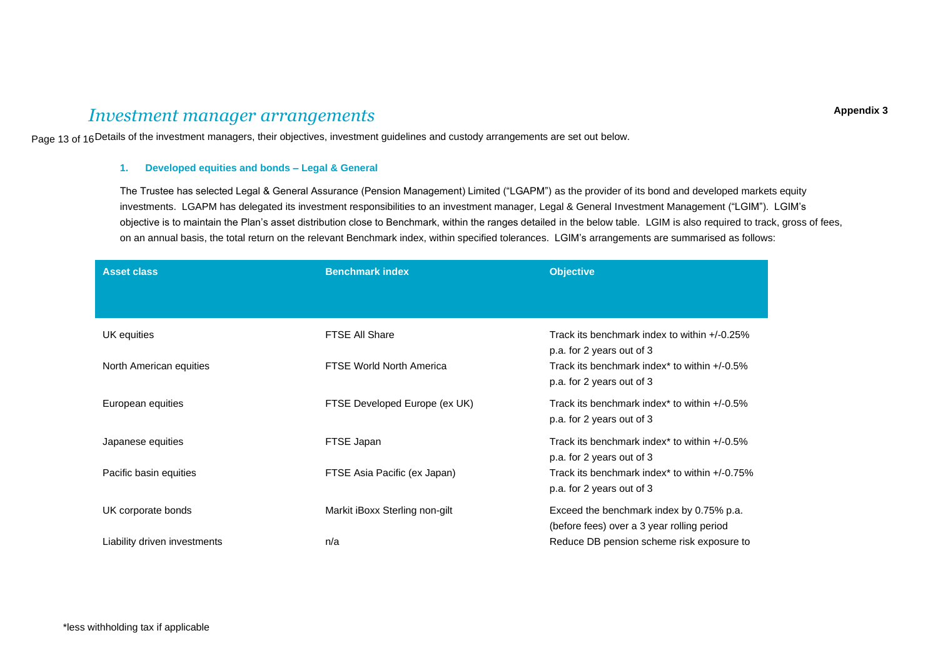# *Investment manager arrangements*

Page 13 of 16Details of the investment managers, their objectives, investment guidelines and custody arrangements are set out below.

# **1. Developed equities and bonds – Legal & General**

The Trustee has selected Legal & General Assurance (Pension Management) Limited ("LGAPM") as the provider of its bond and developed markets equity investments. LGAPM has delegated its investment responsibilities to an investment manager, Legal & General Investment Management ("LGIM"). LGIM's objective is to maintain the Plan's asset distribution close to Benchmark, within the ranges detailed in the below table. LGIM is also required to track, gross of fees, on an annual basis, the total return on the relevant Benchmark index, within specified tolerances. LGIM's arrangements are summarised as follows:

| <b>Asset class</b>           | <b>Benchmark index</b>         | <b>Objective</b>                                                                       |
|------------------------------|--------------------------------|----------------------------------------------------------------------------------------|
|                              |                                |                                                                                        |
| UK equities                  | <b>FTSE All Share</b>          | Track its benchmark index to within $+/-0.25\%$<br>p.a. for 2 years out of 3           |
| North American equities      | FTSE World North America       | Track its benchmark index* to within $+/-0.5\%$<br>p.a. for 2 years out of 3           |
| European equities            | FTSE Developed Europe (ex UK)  | Track its benchmark index* to within $+/-0.5\%$<br>p.a. for 2 years out of 3           |
| Japanese equities            | FTSE Japan                     | Track its benchmark index* to within $+/-0.5\%$<br>p.a. for 2 years out of 3           |
| Pacific basin equities       | FTSE Asia Pacific (ex Japan)   | Track its benchmark index* to within $+/-0.75\%$<br>p.a. for 2 years out of 3          |
| UK corporate bonds           | Markit iBoxx Sterling non-gilt | Exceed the benchmark index by 0.75% p.a.<br>(before fees) over a 3 year rolling period |
| Liability driven investments | n/a                            | Reduce DB pension scheme risk exposure to                                              |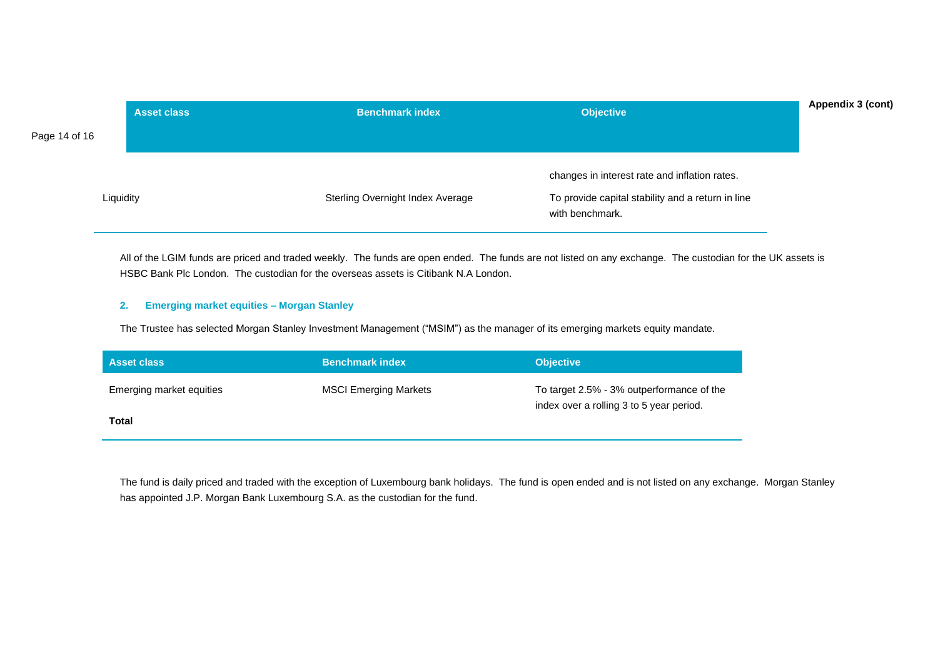|               | <b>Asset class</b> | <b>Benchmark index</b>           | <b>Objective</b>                                                     | Appendix 3 (cont) |
|---------------|--------------------|----------------------------------|----------------------------------------------------------------------|-------------------|
| Page 14 of 16 |                    |                                  |                                                                      |                   |
|               |                    |                                  | changes in interest rate and inflation rates.                        |                   |
| Liquidity     |                    | Sterling Overnight Index Average | To provide capital stability and a return in line<br>with benchmark. |                   |

All of the LGIM funds are priced and traded weekly. The funds are open ended. The funds are not listed on any exchange. The custodian for the UK assets is HSBC Bank Plc London. The custodian for the overseas assets is Citibank N.A London.

# **2. Emerging market equities – Morgan Stanley**

The Trustee has selected Morgan Stanley Investment Management ("MSIM") as the manager of its emerging markets equity mandate.

| <b>Asset class</b>       | <b>Benchmark index</b>       | <b>Objective</b>                                                                      |
|--------------------------|------------------------------|---------------------------------------------------------------------------------------|
| Emerging market equities | <b>MSCI Emerging Markets</b> | To target 2.5% - 3% outperformance of the<br>index over a rolling 3 to 5 year period. |
| Total                    |                              |                                                                                       |

The fund is daily priced and traded with the exception of Luxembourg bank holidays. The fund is open ended and is not listed on any exchange. Morgan Stanley has appointed J.P. Morgan Bank Luxembourg S.A. as the custodian for the fund.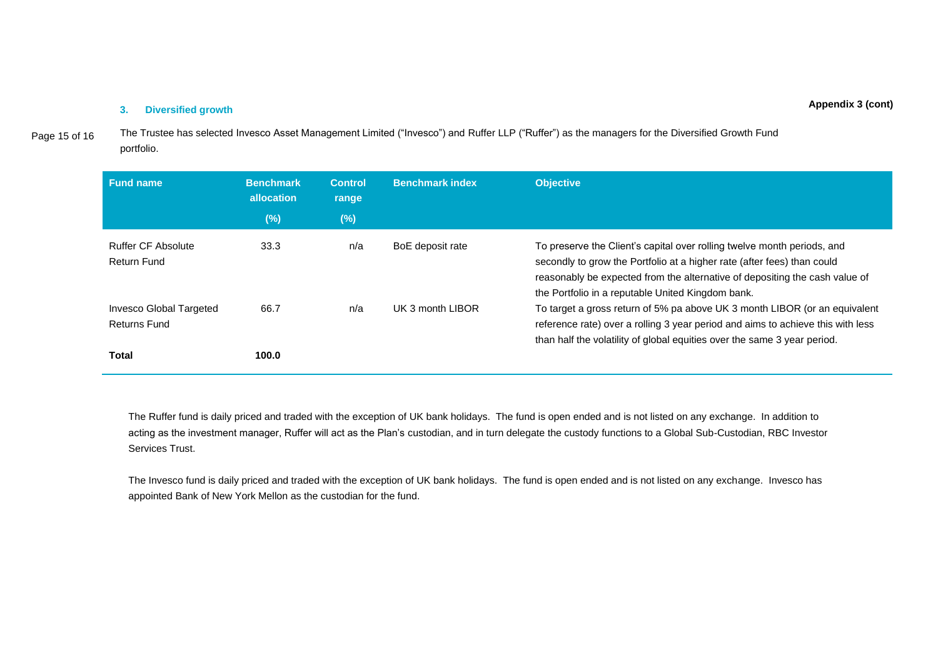#### **3. Diversified growth**

Page 15 of 16 The Trustee has selected Invesco Asset Management Limited ("Invesco") and Ruffer LLP ("Ruffer") as the managers for the Diversified Growth Fund portfolio.

| <b>Fund name</b>                                               | <b>Benchmark</b><br>allocation | <b>Control</b><br>range | <b>Benchmark index</b> | <b>Objective</b>                                                                                                                                                                                                                                                                       |
|----------------------------------------------------------------|--------------------------------|-------------------------|------------------------|----------------------------------------------------------------------------------------------------------------------------------------------------------------------------------------------------------------------------------------------------------------------------------------|
|                                                                | $(\%)$                         | (%)                     |                        |                                                                                                                                                                                                                                                                                        |
| <b>Ruffer CF Absolute</b><br>Return Fund                       | 33.3                           | n/a                     | BoE deposit rate       | To preserve the Client's capital over rolling twelve month periods, and<br>secondly to grow the Portfolio at a higher rate (after fees) than could<br>reasonably be expected from the alternative of depositing the cash value of<br>the Portfolio in a reputable United Kingdom bank. |
| <b>Invesco Global Targeted</b><br><b>Returns Fund</b><br>Total | 66.7<br>100.0                  | n/a                     | UK 3 month LIBOR       | To target a gross return of 5% pa above UK 3 month LIBOR (or an equivalent<br>reference rate) over a rolling 3 year period and aims to achieve this with less<br>than half the volatility of global equities over the same 3 year period.                                              |

The Ruffer fund is daily priced and traded with the exception of UK bank holidays. The fund is open ended and is not listed on any exchange. In addition to acting as the investment manager, Ruffer will act as the Plan's custodian, and in turn delegate the custody functions to a Global Sub-Custodian, RBC Investor Services Trust.

The Invesco fund is daily priced and traded with the exception of UK bank holidays. The fund is open ended and is not listed on any exchange. Invesco has appointed Bank of New York Mellon as the custodian for the fund.